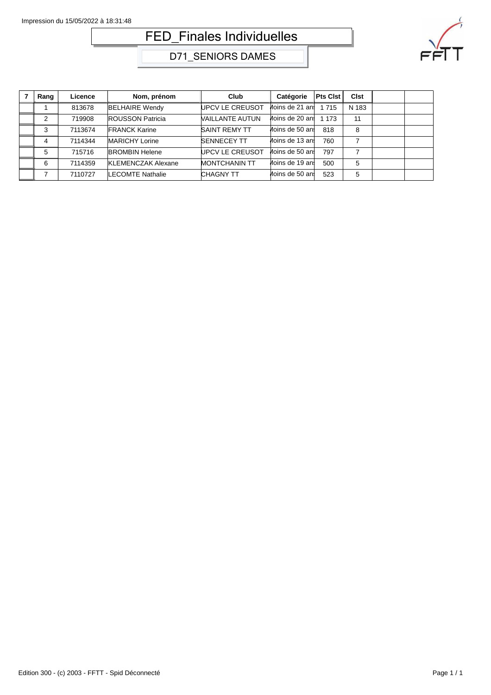## FED\_Finales Individuelles



D71\_SENIORS DAMES

| Rang | Licence | Nom, prénom               | Club                 | Catégorie       | <b>Pts Clst</b> | Cist  |  |
|------|---------|---------------------------|----------------------|-----------------|-----------------|-------|--|
|      | 813678  | <b>BELHAIRE Wendy</b>     | UPCV LE CREUSOT      | Moins de 21 ani | 1 7 1 5         | N 183 |  |
| 2    | 719908  | <b>ROUSSON Patricia</b>   | VAILLANTE AUTUN      | Moins de 20 ans | 1 1 7 3         | 11    |  |
| 3    | 7113674 | <b>FRANCK Karine</b>      | <b>SAINT REMY TT</b> | Moins de 50 ans | 818             | 8     |  |
| 4    | 7114344 | MARICHY Lorine            | <b>SENNECEY TT</b>   | Moins de 13 ans | 760             | 7     |  |
| 5    | 715716  | <b>BROMBIN Helene</b>     | UPCV LE CREUSOT      | Moins de 50 ani | 797             |       |  |
| 6    | 7114359 | <b>KLEMENCZAK Alexane</b> | <b>MONTCHANIN TT</b> | Moins de 19 ani | 500             | 5     |  |
|      | 7110727 | <b>LECOMTE Nathalie</b>   | <b>CHAGNY TT</b>     | Moins de 50 ans | 523             | 5     |  |